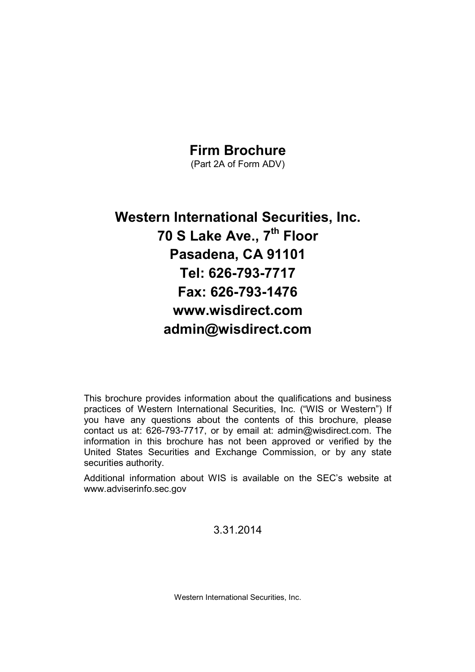# Firm Brochure

(Part 2A of Form ADV)

# Western International Securities, Inc. 70 S Lake Ave., 7<sup>th</sup> Floor Pasadena, CA 91101 Tel: 626-793-7717 Fax: 626-793-1476 www.wisdirect.com admin@wisdirect.com

This brochure provides information about the qualifications and business practices of Western International Securities, Inc. ("WIS or Western") If you have any questions about the contents of this brochure, please contact us at: 626-793-7717, or by email at: admin@wisdirect.com. The information in this brochure has not been approved or verified by the United States Securities and Exchange Commission, or by any state securities authority.

Additional information about WIS is available on the SEC's website at www.adviserinfo.sec.gov

3.31.2014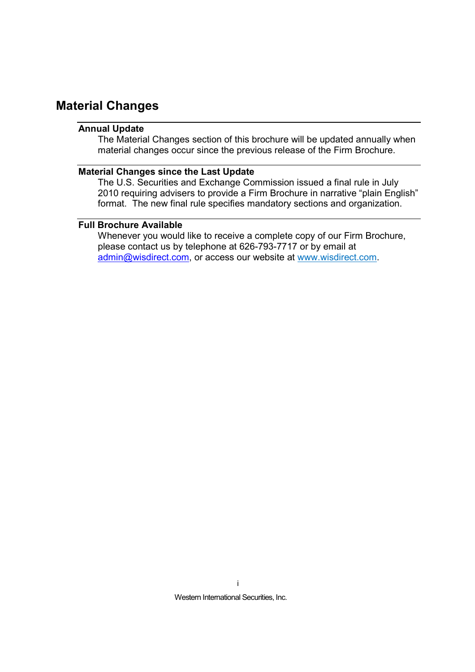### Material Changes

#### Annual Update

The Material Changes section of this brochure will be updated annually when material changes occur since the previous release of the Firm Brochure.

#### Material Changes since the Last Update

The U.S. Securities and Exchange Commission issued a final rule in July 2010 requiring advisers to provide a Firm Brochure in narrative "plain English" format. The new final rule specifies mandatory sections and organization.

#### Full Brochure Available

Whenever you would like to receive a complete copy of our Firm Brochure, please contact us by telephone at 626-793-7717 or by email at admin@wisdirect.com, or access our website at www.wisdirect.com.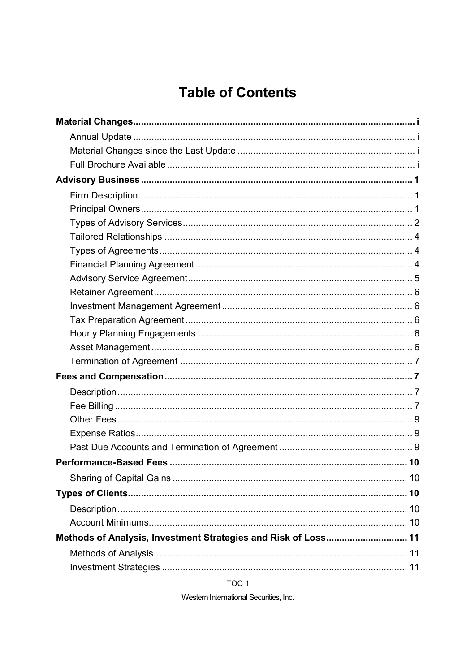# **Table of Contents**

| Methods of Analysis, Investment Strategies and Risk of Loss 11 |  |
|----------------------------------------------------------------|--|
|                                                                |  |
|                                                                |  |
|                                                                |  |

TOC<sub>1</sub>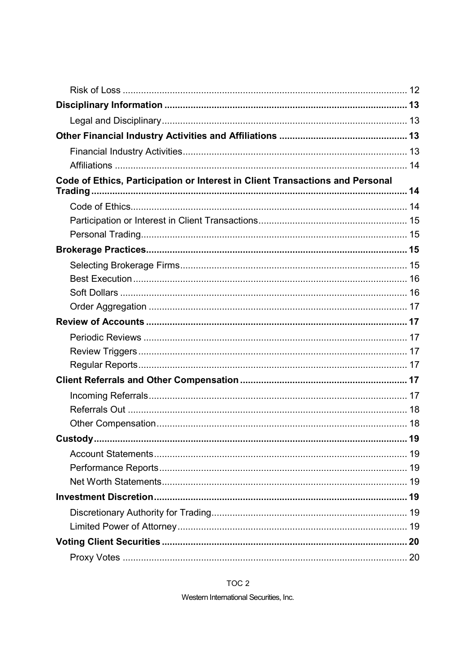| Code of Ethics, Participation or Interest in Client Transactions and Personal |    |
|-------------------------------------------------------------------------------|----|
|                                                                               |    |
|                                                                               |    |
|                                                                               |    |
|                                                                               |    |
|                                                                               |    |
|                                                                               |    |
|                                                                               |    |
|                                                                               |    |
|                                                                               |    |
|                                                                               |    |
|                                                                               |    |
|                                                                               |    |
|                                                                               |    |
|                                                                               |    |
|                                                                               |    |
|                                                                               |    |
| Custody                                                                       | 19 |
|                                                                               |    |
|                                                                               |    |
|                                                                               |    |
|                                                                               |    |
|                                                                               |    |
|                                                                               |    |
|                                                                               |    |
|                                                                               |    |
|                                                                               |    |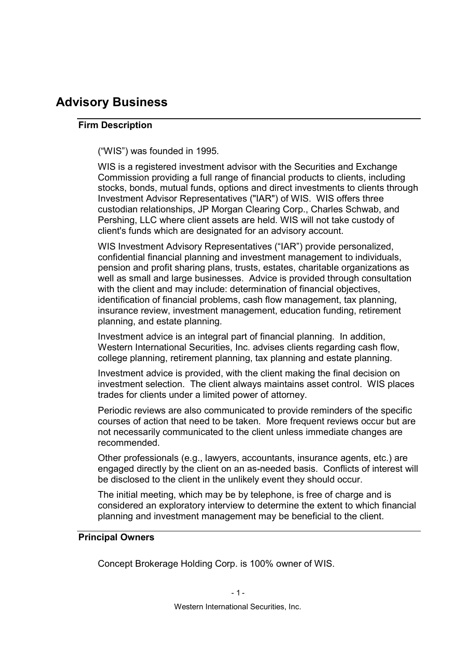# Advisory Business

#### Firm Description

("WIS") was founded in 1995.

WIS is a registered investment advisor with the Securities and Exchange Commission providing a full range of financial products to clients, including stocks, bonds, mutual funds, options and direct investments to clients through Investment Advisor Representatives ("IAR") of WIS. WIS offers three custodian relationships, JP Morgan Clearing Corp., Charles Schwab, and Pershing, LLC where client assets are held. WIS will not take custody of client's funds which are designated for an advisory account.

WIS Investment Advisory Representatives ("IAR") provide personalized, confidential financial planning and investment management to individuals, pension and profit sharing plans, trusts, estates, charitable organizations as well as small and large businesses. Advice is provided through consultation with the client and may include: determination of financial objectives, identification of financial problems, cash flow management, tax planning, insurance review, investment management, education funding, retirement planning, and estate planning.

Investment advice is an integral part of financial planning. In addition, Western International Securities, Inc. advises clients regarding cash flow, college planning, retirement planning, tax planning and estate planning.

Investment advice is provided, with the client making the final decision on investment selection. The client always maintains asset control. WIS places trades for clients under a limited power of attorney.

Periodic reviews are also communicated to provide reminders of the specific courses of action that need to be taken. More frequent reviews occur but are not necessarily communicated to the client unless immediate changes are recommended.

Other professionals (e.g., lawyers, accountants, insurance agents, etc.) are engaged directly by the client on an as-needed basis. Conflicts of interest will be disclosed to the client in the unlikely event they should occur.

The initial meeting, which may be by telephone, is free of charge and is considered an exploratory interview to determine the extent to which financial planning and investment management may be beneficial to the client.

#### Principal Owners

Concept Brokerage Holding Corp. is 100% owner of WIS.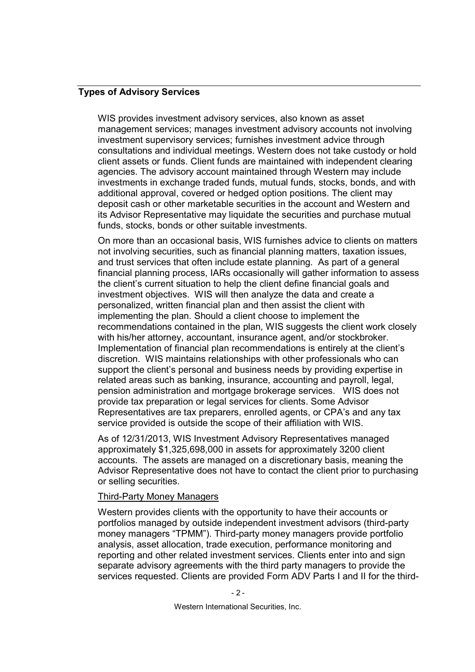#### Types of Advisory Services

WIS provides investment advisory services, also known as asset management services; manages investment advisory accounts not involving investment supervisory services; furnishes investment advice through consultations and individual meetings. Western does not take custody or hold client assets or funds. Client funds are maintained with independent clearing agencies. The advisory account maintained through Western may include investments in exchange traded funds, mutual funds, stocks, bonds, and with additional approval, covered or hedged option positions. The client may deposit cash or other marketable securities in the account and Western and its Advisor Representative may liquidate the securities and purchase mutual funds, stocks, bonds or other suitable investments.

On more than an occasional basis, WIS furnishes advice to clients on matters not involving securities, such as financial planning matters, taxation issues, and trust services that often include estate planning. As part of a general financial planning process, IARs occasionally will gather information to assess the client's current situation to help the client define financial goals and investment objectives. WIS will then analyze the data and create a personalized, written financial plan and then assist the client with implementing the plan. Should a client choose to implement the recommendations contained in the plan, WIS suggests the client work closely with his/her attorney, accountant, insurance agent, and/or stockbroker. Implementation of financial plan recommendations is entirely at the client's discretion. WIS maintains relationships with other professionals who can support the client's personal and business needs by providing expertise in related areas such as banking, insurance, accounting and payroll, legal, pension administration and mortgage brokerage services. WIS does not provide tax preparation or legal services for clients. Some Advisor Representatives are tax preparers, enrolled agents, or CPA's and any tax service provided is outside the scope of their affiliation with WIS.

As of 12/31/2013, WIS Investment Advisory Representatives managed approximately \$1,325,698,000 in assets for approximately 3200 client accounts. The assets are managed on a discretionary basis, meaning the Advisor Representative does not have to contact the client prior to purchasing or selling securities.

#### Third-Party Money Managers

Western provides clients with the opportunity to have their accounts or portfolios managed by outside independent investment advisors (third-party money managers "TPMM"). Third-party money managers provide portfolio analysis, asset allocation, trade execution, performance monitoring and reporting and other related investment services. Clients enter into and sign separate advisory agreements with the third party managers to provide the services requested. Clients are provided Form ADV Parts I and II for the third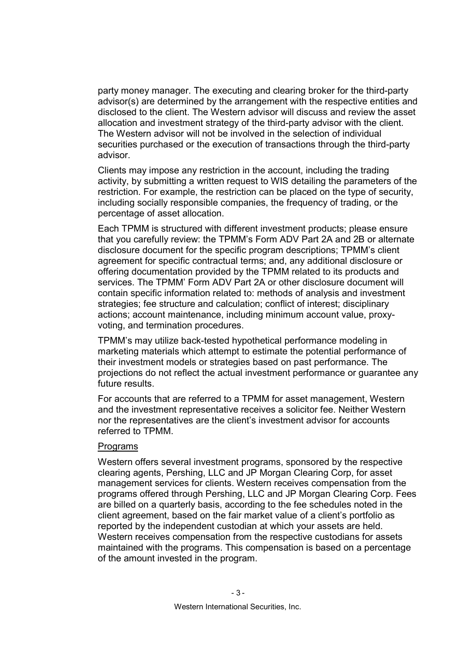party money manager. The executing and clearing broker for the third-party advisor(s) are determined by the arrangement with the respective entities and disclosed to the client. The Western advisor will discuss and review the asset allocation and investment strategy of the third-party advisor with the client. The Western advisor will not be involved in the selection of individual securities purchased or the execution of transactions through the third-party advisor.

Clients may impose any restriction in the account, including the trading activity, by submitting a written request to WIS detailing the parameters of the restriction. For example, the restriction can be placed on the type of security, including socially responsible companies, the frequency of trading, or the percentage of asset allocation.

Each TPMM is structured with different investment products; please ensure that you carefully review: the TPMM's Form ADV Part 2A and 2B or alternate disclosure document for the specific program descriptions; TPMM's client agreement for specific contractual terms; and, any additional disclosure or offering documentation provided by the TPMM related to its products and services. The TPMM' Form ADV Part 2A or other disclosure document will contain specific information related to: methods of analysis and investment strategies; fee structure and calculation; conflict of interest; disciplinary actions; account maintenance, including minimum account value, proxyvoting, and termination procedures.

TPMM's may utilize back-tested hypothetical performance modeling in marketing materials which attempt to estimate the potential performance of their investment models or strategies based on past performance. The projections do not reflect the actual investment performance or guarantee any future results.

For accounts that are referred to a TPMM for asset management, Western and the investment representative receives a solicitor fee. Neither Western nor the representatives are the client's investment advisor for accounts referred to TPMM.

#### Programs

Western offers several investment programs, sponsored by the respective clearing agents, Pershing, LLC and JP Morgan Clearing Corp, for asset management services for clients. Western receives compensation from the programs offered through Pershing, LLC and JP Morgan Clearing Corp. Fees are billed on a quarterly basis, according to the fee schedules noted in the client agreement, based on the fair market value of a client's portfolio as reported by the independent custodian at which your assets are held. Western receives compensation from the respective custodians for assets maintained with the programs. This compensation is based on a percentage of the amount invested in the program.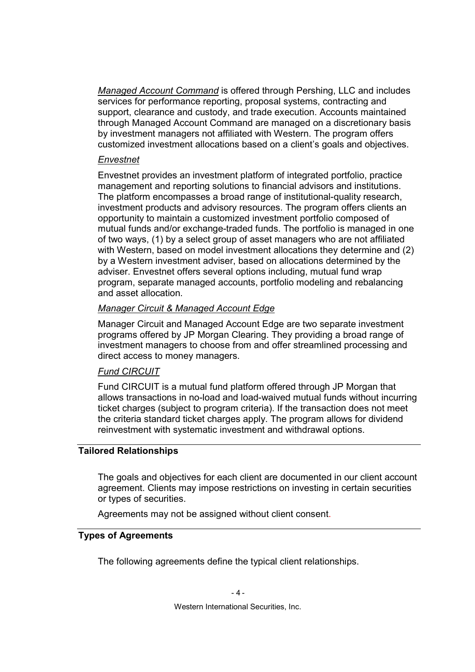Managed Account Command is offered through Pershing, LLC and includes services for performance reporting, proposal systems, contracting and support, clearance and custody, and trade execution. Accounts maintained through Managed Account Command are managed on a discretionary basis by investment managers not affiliated with Western. The program offers customized investment allocations based on a client's goals and objectives.

#### Envestnet

Envestnet provides an investment platform of integrated portfolio, practice management and reporting solutions to financial advisors and institutions. The platform encompasses a broad range of institutional-quality research, investment products and advisory resources. The program offers clients an opportunity to maintain a customized investment portfolio composed of mutual funds and/or exchange-traded funds. The portfolio is managed in one of two ways, (1) by a select group of asset managers who are not affiliated with Western, based on model investment allocations they determine and (2) by a Western investment adviser, based on allocations determined by the adviser. Envestnet offers several options including, mutual fund wrap program, separate managed accounts, portfolio modeling and rebalancing and asset allocation.

#### Manager Circuit & Managed Account Edge

Manager Circuit and Managed Account Edge are two separate investment programs offered by JP Morgan Clearing. They providing a broad range of investment managers to choose from and offer streamlined processing and direct access to money managers.

#### Fund CIRCUIT

Fund CIRCUIT is a mutual fund platform offered through JP Morgan that allows transactions in no-load and load-waived mutual funds without incurring ticket charges (subject to program criteria). If the transaction does not meet the criteria standard ticket charges apply. The program allows for dividend reinvestment with systematic investment and withdrawal options.

#### Tailored Relationships

The goals and objectives for each client are documented in our client account agreement. Clients may impose restrictions on investing in certain securities or types of securities.

Agreements may not be assigned without client consent.

#### Types of Agreements

The following agreements define the typical client relationships.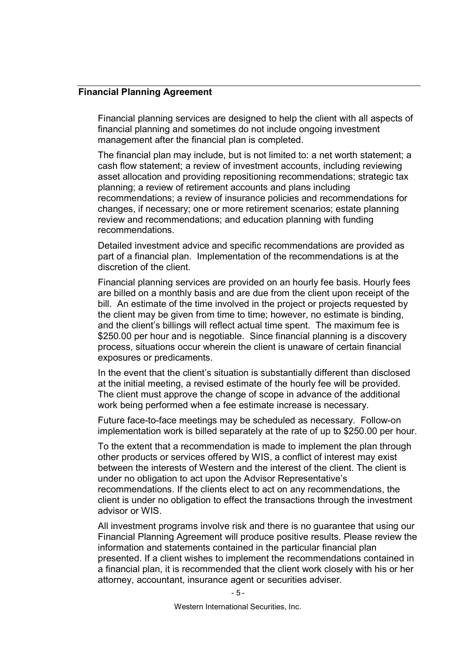#### Financial Planning Agreement

Financial planning services are designed to help the client with all aspects of financial planning and sometimes do not include ongoing investment management after the financial plan is completed.

The financial plan may include, but is not limited to: a net worth statement; a cash flow statement; a review of investment accounts, including reviewing asset allocation and providing repositioning recommendations; strategic tax planning; a review of retirement accounts and plans including recommendations; a review of insurance policies and recommendations for changes, if necessary; one or more retirement scenarios; estate planning review and recommendations; and education planning with funding recommendations.

Detailed investment advice and specific recommendations are provided as part of a financial plan. Implementation of the recommendations is at the discretion of the client.

Financial planning services are provided on an hourly fee basis. Hourly fees are billed on a monthly basis and are due from the client upon receipt of the bill. An estimate of the time involved in the project or projects requested by the client may be given from time to time; however, no estimate is binding, and the client's billings will reflect actual time spent. The maximum fee is \$250.00 per hour and is negotiable. Since financial planning is a discovery process, situations occur wherein the client is unaware of certain financial exposures or predicaments.

In the event that the client's situation is substantially different than disclosed at the initial meeting, a revised estimate of the hourly fee will be provided. The client must approve the change of scope in advance of the additional work being performed when a fee estimate increase is necessary.

Future face-to-face meetings may be scheduled as necessary. Follow-on implementation work is billed separately at the rate of up to \$250.00 per hour.

To the extent that a recommendation is made to implement the plan through other products or services offered by WIS, a conflict of interest may exist between the interests of Western and the interest of the client. The client is under no obligation to act upon the Advisor Representative's recommendations. If the clients elect to act on any recommendations, the client is under no obligation to effect the transactions through the investment advisor or WIS.

All investment programs involve risk and there is no guarantee that using our Financial Planning Agreement will produce positive results. Please review the information and statements contained in the particular financial plan presented. If a client wishes to implement the recommendations contained in a financial plan, it is recommended that the client work closely with his or her attorney, accountant, insurance agent or securities adviser.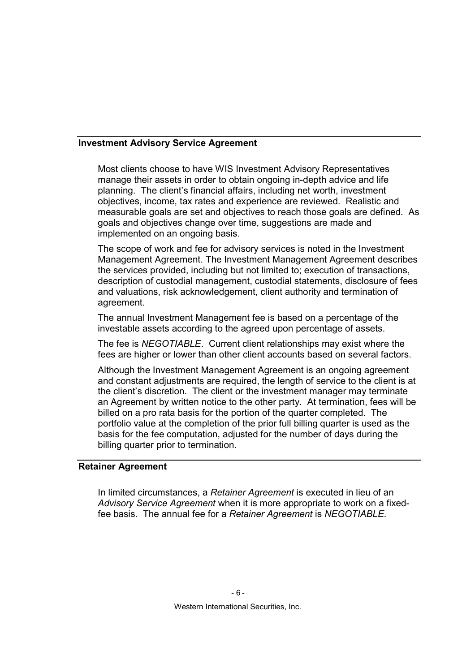#### Investment Advisory Service Agreement

Most clients choose to have WIS Investment Advisory Representatives manage their assets in order to obtain ongoing in-depth advice and life planning. The client's financial affairs, including net worth, investment objectives, income, tax rates and experience are reviewed. Realistic and measurable goals are set and objectives to reach those goals are defined. As goals and objectives change over time, suggestions are made and implemented on an ongoing basis.

The scope of work and fee for advisory services is noted in the Investment Management Agreement. The Investment Management Agreement describes the services provided, including but not limited to; execution of transactions, description of custodial management, custodial statements, disclosure of fees and valuations, risk acknowledgement, client authority and termination of agreement.

The annual Investment Management fee is based on a percentage of the investable assets according to the agreed upon percentage of assets.

The fee is NEGOTIABLE. Current client relationships may exist where the fees are higher or lower than other client accounts based on several factors.

Although the Investment Management Agreement is an ongoing agreement and constant adjustments are required, the length of service to the client is at the client's discretion. The client or the investment manager may terminate an Agreement by written notice to the other party. At termination, fees will be billed on a pro rata basis for the portion of the quarter completed. The portfolio value at the completion of the prior full billing quarter is used as the basis for the fee computation, adjusted for the number of days during the billing quarter prior to termination.

#### Retainer Agreement

In limited circumstances, a Retainer Agreement is executed in lieu of an Advisory Service Agreement when it is more appropriate to work on a fixedfee basis. The annual fee for a Retainer Agreement is NEGOTIABLE.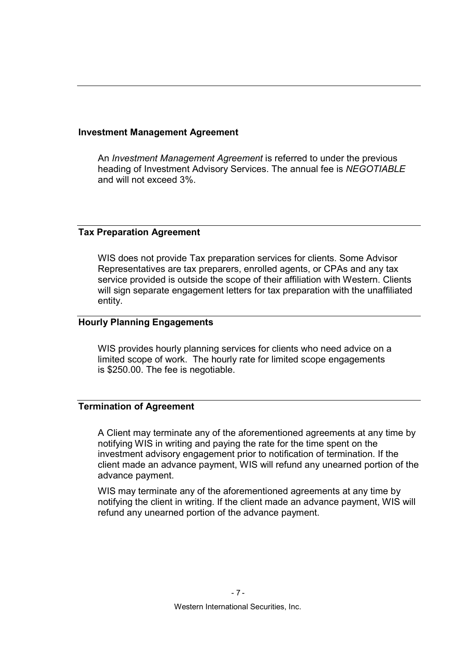#### Investment Management Agreement

An Investment Management Agreement is referred to under the previous heading of Investment Advisory Services. The annual fee is NEGOTIABLE and will not exceed 3%.

#### Tax Preparation Agreement

WIS does not provide Tax preparation services for clients. Some Advisor Representatives are tax preparers, enrolled agents, or CPAs and any tax service provided is outside the scope of their affiliation with Western. Clients will sign separate engagement letters for tax preparation with the unaffiliated entity.

#### Hourly Planning Engagements

WIS provides hourly planning services for clients who need advice on a limited scope of work. The hourly rate for limited scope engagements is \$250.00. The fee is negotiable.

#### Termination of Agreement

A Client may terminate any of the aforementioned agreements at any time by notifying WIS in writing and paying the rate for the time spent on the investment advisory engagement prior to notification of termination. If the client made an advance payment, WIS will refund any unearned portion of the advance payment.

WIS may terminate any of the aforementioned agreements at any time by notifying the client in writing. If the client made an advance payment, WIS will refund any unearned portion of the advance payment.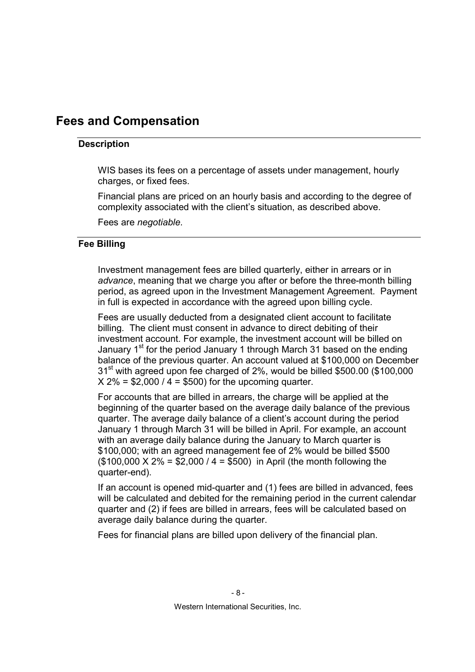## Fees and Compensation

#### **Description**

WIS bases its fees on a percentage of assets under management, hourly charges, or fixed fees.

Financial plans are priced on an hourly basis and according to the degree of complexity associated with the client's situation, as described above.

Fees are negotiable.

#### Fee Billing

Investment management fees are billed quarterly, either in arrears or in advance, meaning that we charge you after or before the three-month billing period, as agreed upon in the Investment Management Agreement. Payment in full is expected in accordance with the agreed upon billing cycle.

Fees are usually deducted from a designated client account to facilitate billing. The client must consent in advance to direct debiting of their investment account. For example, the investment account will be billed on January 1<sup>st</sup> for the period January 1 through March 31 based on the ending balance of the previous quarter. An account valued at \$100,000 on December 31<sup>st</sup> with agreed upon fee charged of 2%, would be billed \$500.00 (\$100,000  $X 2\% = $2,000 / 4 = $500$  for the upcoming quarter.

For accounts that are billed in arrears, the charge will be applied at the beginning of the quarter based on the average daily balance of the previous quarter. The average daily balance of a client's account during the period January 1 through March 31 will be billed in April. For example, an account with an average daily balance during the January to March quarter is \$100,000; with an agreed management fee of 2% would be billed \$500 (\$100,000 X 2% = \$2,000 / 4 = \$500) in April (the month following the quarter-end).

If an account is opened mid-quarter and (1) fees are billed in advanced, fees will be calculated and debited for the remaining period in the current calendar quarter and (2) if fees are billed in arrears, fees will be calculated based on average daily balance during the quarter.

Fees for financial plans are billed upon delivery of the financial plan.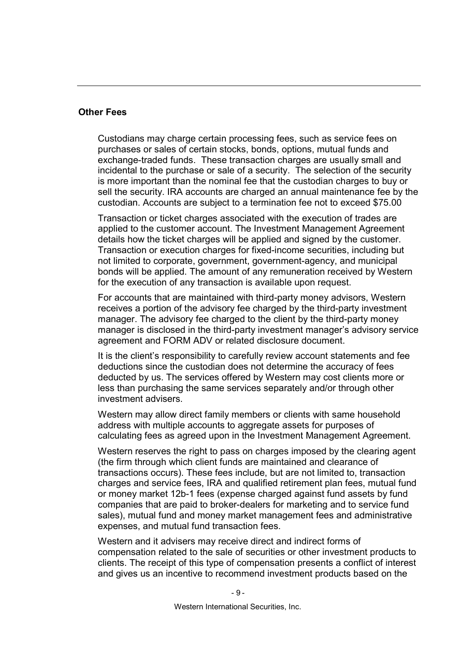#### Other Fees

Custodians may charge certain processing fees, such as service fees on purchases or sales of certain stocks, bonds, options, mutual funds and exchange-traded funds. These transaction charges are usually small and incidental to the purchase or sale of a security. The selection of the security is more important than the nominal fee that the custodian charges to buy or sell the security. IRA accounts are charged an annual maintenance fee by the custodian. Accounts are subject to a termination fee not to exceed \$75.00

Transaction or ticket charges associated with the execution of trades are applied to the customer account. The Investment Management Agreement details how the ticket charges will be applied and signed by the customer. Transaction or execution charges for fixed-income securities, including but not limited to corporate, government, government-agency, and municipal bonds will be applied. The amount of any remuneration received by Western for the execution of any transaction is available upon request.

For accounts that are maintained with third-party money advisors, Western receives a portion of the advisory fee charged by the third-party investment manager. The advisory fee charged to the client by the third-party money manager is disclosed in the third-party investment manager's advisory service agreement and FORM ADV or related disclosure document.

It is the client's responsibility to carefully review account statements and fee deductions since the custodian does not determine the accuracy of fees deducted by us. The services offered by Western may cost clients more or less than purchasing the same services separately and/or through other investment advisers.

Western may allow direct family members or clients with same household address with multiple accounts to aggregate assets for purposes of calculating fees as agreed upon in the Investment Management Agreement.

Western reserves the right to pass on charges imposed by the clearing agent (the firm through which client funds are maintained and clearance of transactions occurs). These fees include, but are not limited to, transaction charges and service fees, IRA and qualified retirement plan fees, mutual fund or money market 12b-1 fees (expense charged against fund assets by fund companies that are paid to broker-dealers for marketing and to service fund sales), mutual fund and money market management fees and administrative expenses, and mutual fund transaction fees.

Western and it advisers may receive direct and indirect forms of compensation related to the sale of securities or other investment products to clients. The receipt of this type of compensation presents a conflict of interest and gives us an incentive to recommend investment products based on the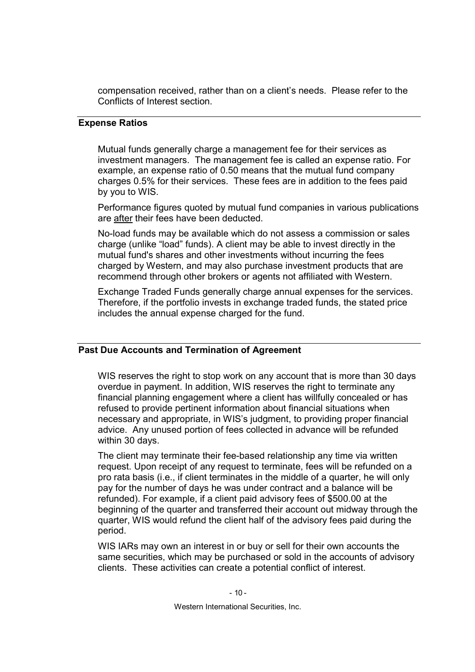compensation received, rather than on a client's needs. Please refer to the Conflicts of Interest section.

#### Expense Ratios

Mutual funds generally charge a management fee for their services as investment managers. The management fee is called an expense ratio. For example, an expense ratio of 0.50 means that the mutual fund company charges 0.5% for their services. These fees are in addition to the fees paid by you to WIS.

Performance figures quoted by mutual fund companies in various publications are after their fees have been deducted.

No-load funds may be available which do not assess a commission or sales charge (unlike "load" funds). A client may be able to invest directly in the mutual fund's shares and other investments without incurring the fees charged by Western, and may also purchase investment products that are recommend through other brokers or agents not affiliated with Western.

Exchange Traded Funds generally charge annual expenses for the services. Therefore, if the portfolio invests in exchange traded funds, the stated price includes the annual expense charged for the fund.

#### Past Due Accounts and Termination of Agreement

WIS reserves the right to stop work on any account that is more than 30 days overdue in payment. In addition, WIS reserves the right to terminate any financial planning engagement where a client has willfully concealed or has refused to provide pertinent information about financial situations when necessary and appropriate, in WIS's judgment, to providing proper financial advice. Any unused portion of fees collected in advance will be refunded within 30 days.

The client may terminate their fee-based relationship any time via written request. Upon receipt of any request to terminate, fees will be refunded on a pro rata basis (i.e., if client terminates in the middle of a quarter, he will only pay for the number of days he was under contract and a balance will be refunded). For example, if a client paid advisory fees of \$500.00 at the beginning of the quarter and transferred their account out midway through the quarter, WIS would refund the client half of the advisory fees paid during the period.

WIS IARs may own an interest in or buy or sell for their own accounts the same securities, which may be purchased or sold in the accounts of advisory clients. These activities can create a potential conflict of interest.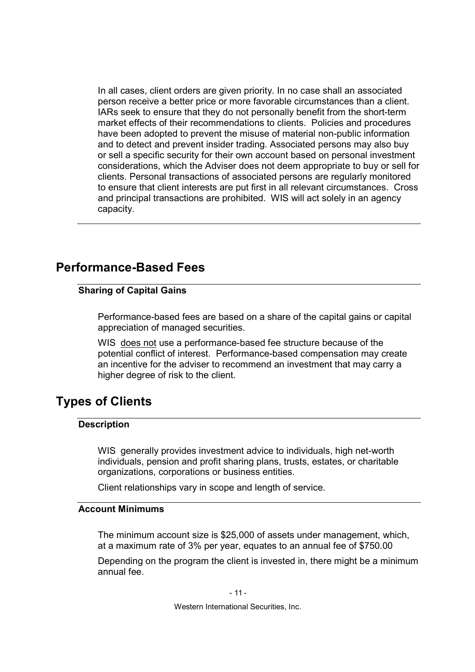In all cases, client orders are given priority. In no case shall an associated person receive a better price or more favorable circumstances than a client. IARs seek to ensure that they do not personally benefit from the short-term market effects of their recommendations to clients. Policies and procedures have been adopted to prevent the misuse of material non-public information and to detect and prevent insider trading. Associated persons may also buy or sell a specific security for their own account based on personal investment considerations, which the Adviser does not deem appropriate to buy or sell for clients. Personal transactions of associated persons are regularly monitored to ensure that client interests are put first in all relevant circumstances. Cross and principal transactions are prohibited. WIS will act solely in an agency capacity.

### Performance-Based Fees

#### Sharing of Capital Gains

Performance-based fees are based on a share of the capital gains or capital appreciation of managed securities.

WIS does not use a performance-based fee structure because of the potential conflict of interest. Performance-based compensation may create an incentive for the adviser to recommend an investment that may carry a higher degree of risk to the client.

### Types of Clients

#### **Description**

WIS generally provides investment advice to individuals, high net-worth individuals, pension and profit sharing plans, trusts, estates, or charitable organizations, corporations or business entities.

Client relationships vary in scope and length of service.

#### Account Minimums

The minimum account size is \$25,000 of assets under management, which, at a maximum rate of 3% per year, equates to an annual fee of \$750.00

Depending on the program the client is invested in, there might be a minimum annual fee.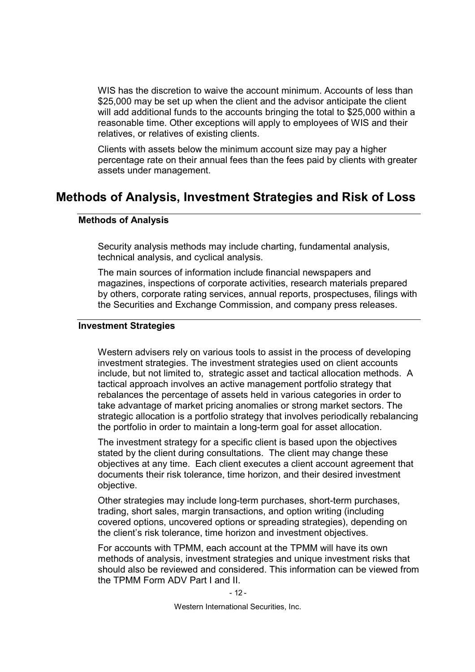WIS has the discretion to waive the account minimum. Accounts of less than \$25,000 may be set up when the client and the advisor anticipate the client will add additional funds to the accounts bringing the total to \$25,000 within a reasonable time. Other exceptions will apply to employees of WIS and their relatives, or relatives of existing clients.

Clients with assets below the minimum account size may pay a higher percentage rate on their annual fees than the fees paid by clients with greater assets under management.

### Methods of Analysis, Investment Strategies and Risk of Loss

#### Methods of Analysis

Security analysis methods may include charting, fundamental analysis, technical analysis, and cyclical analysis.

The main sources of information include financial newspapers and magazines, inspections of corporate activities, research materials prepared by others, corporate rating services, annual reports, prospectuses, filings with the Securities and Exchange Commission, and company press releases.

#### Investment Strategies

Western advisers rely on various tools to assist in the process of developing investment strategies. The investment strategies used on client accounts include, but not limited to, strategic asset and tactical allocation methods. A tactical approach involves an active management portfolio strategy that rebalances the percentage of assets held in various categories in order to take advantage of market pricing anomalies or strong market sectors. The strategic allocation is a portfolio strategy that involves periodically rebalancing the portfolio in order to maintain a long-term goal for asset allocation.

The investment strategy for a specific client is based upon the objectives stated by the client during consultations. The client may change these objectives at any time. Each client executes a client account agreement that documents their risk tolerance, time horizon, and their desired investment objective.

Other strategies may include long-term purchases, short-term purchases, trading, short sales, margin transactions, and option writing (including covered options, uncovered options or spreading strategies), depending on the client's risk tolerance, time horizon and investment objectives.

For accounts with TPMM, each account at the TPMM will have its own methods of analysis, investment strategies and unique investment risks that should also be reviewed and considered. This information can be viewed from the TPMM Form ADV Part I and II.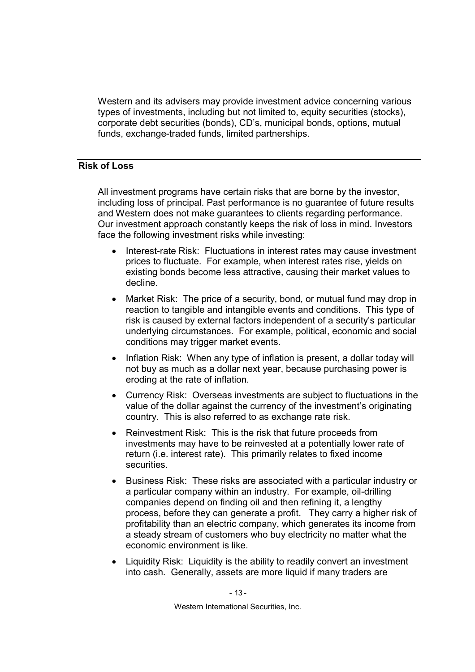Western and its advisers may provide investment advice concerning various types of investments, including but not limited to, equity securities (stocks), corporate debt securities (bonds), CD's, municipal bonds, options, mutual funds, exchange-traded funds, limited partnerships.

#### Risk of Loss

All investment programs have certain risks that are borne by the investor, including loss of principal. Past performance is no guarantee of future results and Western does not make guarantees to clients regarding performance. Our investment approach constantly keeps the risk of loss in mind. Investors face the following investment risks while investing:

- Interest-rate Risk: Fluctuations in interest rates may cause investment prices to fluctuate. For example, when interest rates rise, yields on existing bonds become less attractive, causing their market values to decline.
- Market Risk: The price of a security, bond, or mutual fund may drop in reaction to tangible and intangible events and conditions. This type of risk is caused by external factors independent of a security's particular underlying circumstances. For example, political, economic and social conditions may trigger market events.
- Inflation Risk: When any type of inflation is present, a dollar today will not buy as much as a dollar next year, because purchasing power is eroding at the rate of inflation.
- Currency Risk: Overseas investments are subject to fluctuations in the value of the dollar against the currency of the investment's originating country. This is also referred to as exchange rate risk.
- Reinvestment Risk: This is the risk that future proceeds from investments may have to be reinvested at a potentially lower rate of return (i.e. interest rate). This primarily relates to fixed income securities.
- Business Risk: These risks are associated with a particular industry or a particular company within an industry. For example, oil-drilling companies depend on finding oil and then refining it, a lengthy process, before they can generate a profit. They carry a higher risk of profitability than an electric company, which generates its income from a steady stream of customers who buy electricity no matter what the economic environment is like.
- Liquidity Risk: Liquidity is the ability to readily convert an investment into cash. Generally, assets are more liquid if many traders are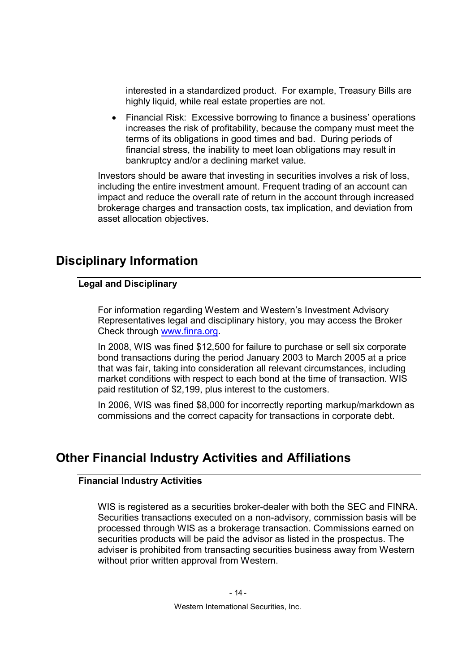interested in a standardized product. For example, Treasury Bills are highly liquid, while real estate properties are not.

• Financial Risk: Excessive borrowing to finance a business' operations increases the risk of profitability, because the company must meet the terms of its obligations in good times and bad. During periods of financial stress, the inability to meet loan obligations may result in bankruptcy and/or a declining market value.

Investors should be aware that investing in securities involves a risk of loss, including the entire investment amount. Frequent trading of an account can impact and reduce the overall rate of return in the account through increased brokerage charges and transaction costs, tax implication, and deviation from asset allocation objectives.

# Disciplinary Information

#### Legal and Disciplinary

For information regarding Western and Western's Investment Advisory Representatives legal and disciplinary history, you may access the Broker Check through www.finra.org.

In 2008, WIS was fined \$12,500 for failure to purchase or sell six corporate bond transactions during the period January 2003 to March 2005 at a price that was fair, taking into consideration all relevant circumstances, including market conditions with respect to each bond at the time of transaction. WIS paid restitution of \$2,199, plus interest to the customers.

In 2006, WIS was fined \$8,000 for incorrectly reporting markup/markdown as commissions and the correct capacity for transactions in corporate debt.

# Other Financial Industry Activities and Affiliations

#### Financial Industry Activities

WIS is registered as a securities broker-dealer with both the SEC and FINRA. Securities transactions executed on a non-advisory, commission basis will be processed through WIS as a brokerage transaction. Commissions earned on securities products will be paid the advisor as listed in the prospectus. The adviser is prohibited from transacting securities business away from Western without prior written approval from Western.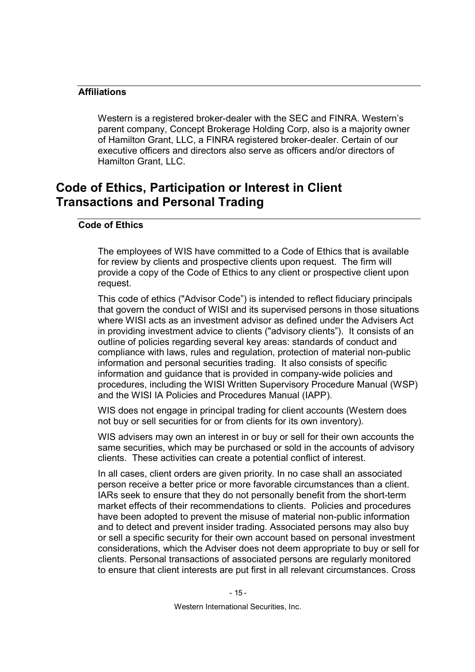#### Affiliations

Western is a registered broker-dealer with the SEC and FINRA. Western's parent company, Concept Brokerage Holding Corp, also is a majority owner of Hamilton Grant, LLC, a FINRA registered broker-dealer. Certain of our executive officers and directors also serve as officers and/or directors of Hamilton Grant, LLC.

### Code of Ethics, Participation or Interest in Client Transactions and Personal Trading

#### Code of Ethics

The employees of WIS have committed to a Code of Ethics that is available for review by clients and prospective clients upon request. The firm will provide a copy of the Code of Ethics to any client or prospective client upon request.

This code of ethics ("Advisor Code") is intended to reflect fiduciary principals that govern the conduct of WISI and its supervised persons in those situations where WISI acts as an investment advisor as defined under the Advisers Act in providing investment advice to clients ("advisory clients"). It consists of an outline of policies regarding several key areas: standards of conduct and compliance with laws, rules and regulation, protection of material non-public information and personal securities trading. It also consists of specific information and guidance that is provided in company-wide policies and procedures, including the WISI Written Supervisory Procedure Manual (WSP) and the WISI IA Policies and Procedures Manual (IAPP).

WIS does not engage in principal trading for client accounts (Western does not buy or sell securities for or from clients for its own inventory).

WIS advisers may own an interest in or buy or sell for their own accounts the same securities, which may be purchased or sold in the accounts of advisory clients. These activities can create a potential conflict of interest.

In all cases, client orders are given priority. In no case shall an associated person receive a better price or more favorable circumstances than a client. IARs seek to ensure that they do not personally benefit from the short-term market effects of their recommendations to clients. Policies and procedures have been adopted to prevent the misuse of material non-public information and to detect and prevent insider trading. Associated persons may also buy or sell a specific security for their own account based on personal investment considerations, which the Adviser does not deem appropriate to buy or sell for clients. Personal transactions of associated persons are regularly monitored to ensure that client interests are put first in all relevant circumstances. Cross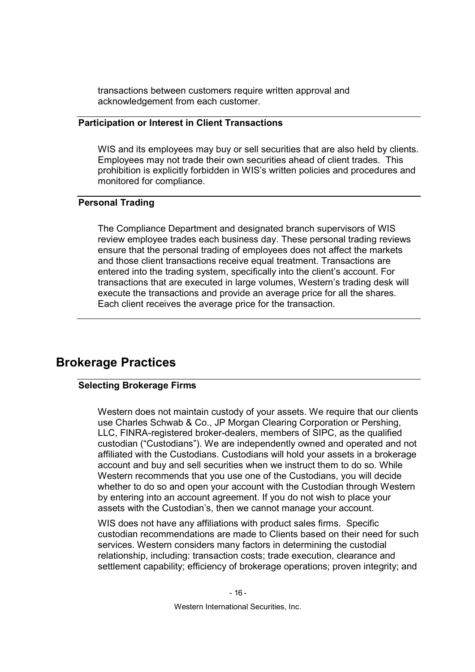transactions between customers require written approval and acknowledgement from each customer.

#### Participation or Interest in Client Transactions

WIS and its employees may buy or sell securities that are also held by clients. Employees may not trade their own securities ahead of client trades. This prohibition is explicitly forbidden in WIS's written policies and procedures and monitored for compliance.

#### Personal Trading

The Compliance Department and designated branch supervisors of WIS review employee trades each business day. These personal trading reviews ensure that the personal trading of employees does not affect the markets and those client transactions receive equal treatment. Transactions are entered into the trading system, specifically into the client's account. For transactions that are executed in large volumes, Western's trading desk will execute the transactions and provide an average price for all the shares. Each client receives the average price for the transaction.

### Brokerage Practices

#### Selecting Brokerage Firms

Western does not maintain custody of your assets. We require that our clients use Charles Schwab & Co., JP Morgan Clearing Corporation or Pershing, LLC, FINRA-registered broker-dealers, members of SIPC, as the qualified custodian ("Custodians"). We are independently owned and operated and not affiliated with the Custodians. Custodians will hold your assets in a brokerage account and buy and sell securities when we instruct them to do so. While Western recommends that you use one of the Custodians, you will decide whether to do so and open your account with the Custodian through Western by entering into an account agreement. If you do not wish to place your assets with the Custodian's, then we cannot manage your account.

WIS does not have any affiliations with product sales firms. Specific custodian recommendations are made to Clients based on their need for such services. Western considers many factors in determining the custodial relationship, including: transaction costs; trade execution, clearance and settlement capability; efficiency of brokerage operations; proven integrity; and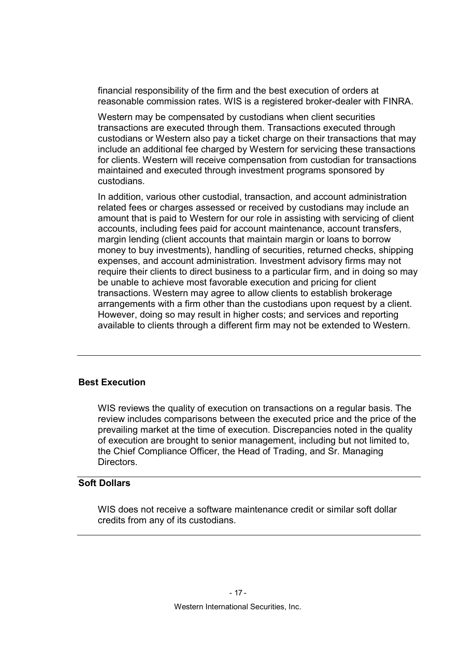financial responsibility of the firm and the best execution of orders at reasonable commission rates. WIS is a registered broker-dealer with FINRA.

Western may be compensated by custodians when client securities transactions are executed through them. Transactions executed through custodians or Western also pay a ticket charge on their transactions that may include an additional fee charged by Western for servicing these transactions for clients. Western will receive compensation from custodian for transactions maintained and executed through investment programs sponsored by custodians.

In addition, various other custodial, transaction, and account administration related fees or charges assessed or received by custodians may include an amount that is paid to Western for our role in assisting with servicing of client accounts, including fees paid for account maintenance, account transfers, margin lending (client accounts that maintain margin or loans to borrow money to buy investments), handling of securities, returned checks, shipping expenses, and account administration. Investment advisory firms may not require their clients to direct business to a particular firm, and in doing so may be unable to achieve most favorable execution and pricing for client transactions. Western may agree to allow clients to establish brokerage arrangements with a firm other than the custodians upon request by a client. However, doing so may result in higher costs; and services and reporting available to clients through a different firm may not be extended to Western.

#### Best Execution

WIS reviews the quality of execution on transactions on a regular basis. The review includes comparisons between the executed price and the price of the prevailing market at the time of execution. Discrepancies noted in the quality of execution are brought to senior management, including but not limited to, the Chief Compliance Officer, the Head of Trading, and Sr. Managing Directors.

#### Soft Dollars

WIS does not receive a software maintenance credit or similar soft dollar credits from any of its custodians.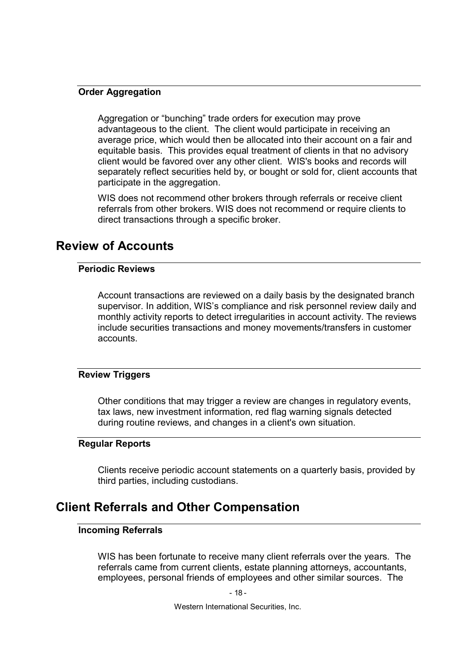#### **Order Aggregation**

Aggregation or "bunching" trade orders for execution may prove advantageous to the client. The client would participate in receiving an average price, which would then be allocated into their account on a fair and equitable basis. This provides equal treatment of clients in that no advisory client would be favored over any other client. WIS's books and records will separately reflect securities held by, or bought or sold for, client accounts that participate in the aggregation.

WIS does not recommend other brokers through referrals or receive client referrals from other brokers. WIS does not recommend or require clients to direct transactions through a specific broker.

### Review of Accounts

#### Periodic Reviews

Account transactions are reviewed on a daily basis by the designated branch supervisor. In addition, WIS's compliance and risk personnel review daily and monthly activity reports to detect irregularities in account activity. The reviews include securities transactions and money movements/transfers in customer accounts.

#### Review Triggers

Other conditions that may trigger a review are changes in regulatory events, tax laws, new investment information, red flag warning signals detected during routine reviews, and changes in a client's own situation.

#### Regular Reports

Clients receive periodic account statements on a quarterly basis, provided by third parties, including custodians.

### Client Referrals and Other Compensation

#### Incoming Referrals

WIS has been fortunate to receive many client referrals over the years. The referrals came from current clients, estate planning attorneys, accountants, employees, personal friends of employees and other similar sources. The

- 18 -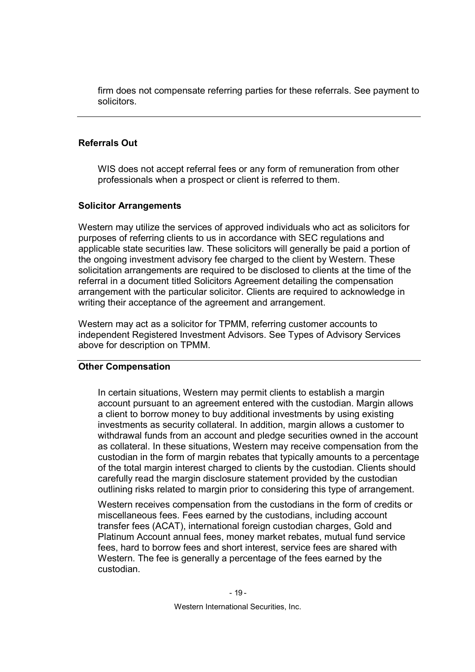firm does not compensate referring parties for these referrals. See payment to solicitors.

#### Referrals Out

WIS does not accept referral fees or any form of remuneration from other professionals when a prospect or client is referred to them.

#### Solicitor Arrangements

Western may utilize the services of approved individuals who act as solicitors for purposes of referring clients to us in accordance with SEC regulations and applicable state securities law. These solicitors will generally be paid a portion of the ongoing investment advisory fee charged to the client by Western. These solicitation arrangements are required to be disclosed to clients at the time of the referral in a document titled Solicitors Agreement detailing the compensation arrangement with the particular solicitor. Clients are required to acknowledge in writing their acceptance of the agreement and arrangement.

Western may act as a solicitor for TPMM, referring customer accounts to independent Registered Investment Advisors. See Types of Advisory Services above for description on TPMM.

#### Other Compensation

In certain situations, Western may permit clients to establish a margin account pursuant to an agreement entered with the custodian. Margin allows a client to borrow money to buy additional investments by using existing investments as security collateral. In addition, margin allows a customer to withdrawal funds from an account and pledge securities owned in the account as collateral. In these situations, Western may receive compensation from the custodian in the form of margin rebates that typically amounts to a percentage of the total margin interest charged to clients by the custodian. Clients should carefully read the margin disclosure statement provided by the custodian outlining risks related to margin prior to considering this type of arrangement.

Western receives compensation from the custodians in the form of credits or miscellaneous fees. Fees earned by the custodians, including account transfer fees (ACAT), international foreign custodian charges, Gold and Platinum Account annual fees, money market rebates, mutual fund service fees, hard to borrow fees and short interest, service fees are shared with Western. The fee is generally a percentage of the fees earned by the custodian.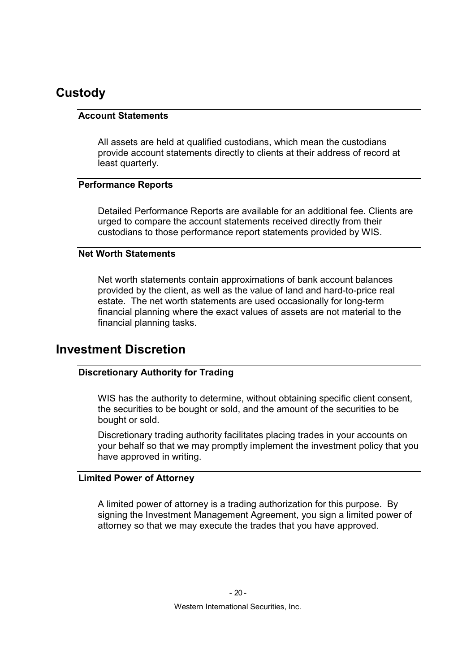### **Custody**

#### Account Statements

All assets are held at qualified custodians, which mean the custodians provide account statements directly to clients at their address of record at least quarterly.

#### Performance Reports

Detailed Performance Reports are available for an additional fee. Clients are urged to compare the account statements received directly from their custodians to those performance report statements provided by WIS.

#### Net Worth Statements

Net worth statements contain approximations of bank account balances provided by the client, as well as the value of land and hard-to-price real estate. The net worth statements are used occasionally for long-term financial planning where the exact values of assets are not material to the financial planning tasks.

### Investment Discretion

#### Discretionary Authority for Trading

WIS has the authority to determine, without obtaining specific client consent, the securities to be bought or sold, and the amount of the securities to be bought or sold.

Discretionary trading authority facilitates placing trades in your accounts on your behalf so that we may promptly implement the investment policy that you have approved in writing.

#### Limited Power of Attorney

A limited power of attorney is a trading authorization for this purpose. By signing the Investment Management Agreement, you sign a limited power of attorney so that we may execute the trades that you have approved.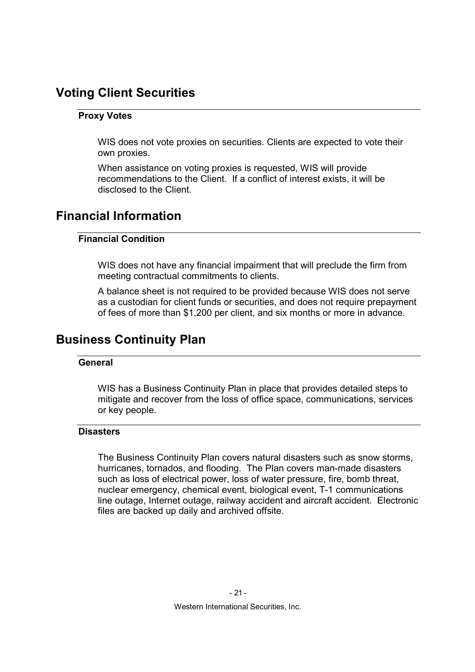# Voting Client Securities

#### Proxy Votes

WIS does not vote proxies on securities. Clients are expected to vote their own proxies.

When assistance on voting proxies is requested, WIS will provide recommendations to the Client. If a conflict of interest exists, it will be disclosed to the Client.

# Financial Information

#### Financial Condition

WIS does not have any financial impairment that will preclude the firm from meeting contractual commitments to clients.

A balance sheet is not required to be provided because WIS does not serve as a custodian for client funds or securities, and does not require prepayment of fees of more than \$1,200 per client, and six months or more in advance.

## Business Continuity Plan

#### **General**

WIS has a Business Continuity Plan in place that provides detailed steps to mitigate and recover from the loss of office space, communications, services or key people.

#### **Disasters**

The Business Continuity Plan covers natural disasters such as snow storms, hurricanes, tornados, and flooding. The Plan covers man-made disasters such as loss of electrical power, loss of water pressure, fire, bomb threat, nuclear emergency, chemical event, biological event, T-1 communications line outage, Internet outage, railway accident and aircraft accident. Electronic files are backed up daily and archived offsite.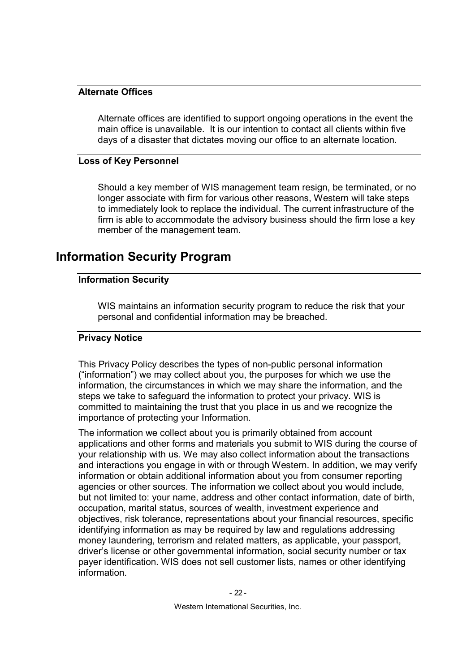#### Alternate Offices

Alternate offices are identified to support ongoing operations in the event the main office is unavailable. It is our intention to contact all clients within five days of a disaster that dictates moving our office to an alternate location.

#### Loss of Key Personnel

Should a key member of WIS management team resign, be terminated, or no longer associate with firm for various other reasons, Western will take steps to immediately look to replace the individual. The current infrastructure of the firm is able to accommodate the advisory business should the firm lose a key member of the management team.

### Information Security Program

#### Information Security

WIS maintains an information security program to reduce the risk that your personal and confidential information may be breached.

#### Privacy Notice

This Privacy Policy describes the types of non-public personal information ("information") we may collect about you, the purposes for which we use the information, the circumstances in which we may share the information, and the steps we take to safeguard the information to protect your privacy. WIS is committed to maintaining the trust that you place in us and we recognize the importance of protecting your Information.

The information we collect about you is primarily obtained from account applications and other forms and materials you submit to WIS during the course of your relationship with us. We may also collect information about the transactions and interactions you engage in with or through Western. In addition, we may verify information or obtain additional information about you from consumer reporting agencies or other sources. The information we collect about you would include, but not limited to: your name, address and other contact information, date of birth, occupation, marital status, sources of wealth, investment experience and objectives, risk tolerance, representations about your financial resources, specific identifying information as may be required by law and regulations addressing money laundering, terrorism and related matters, as applicable, your passport, driver's license or other governmental information, social security number or tax payer identification. WIS does not sell customer lists, names or other identifying information.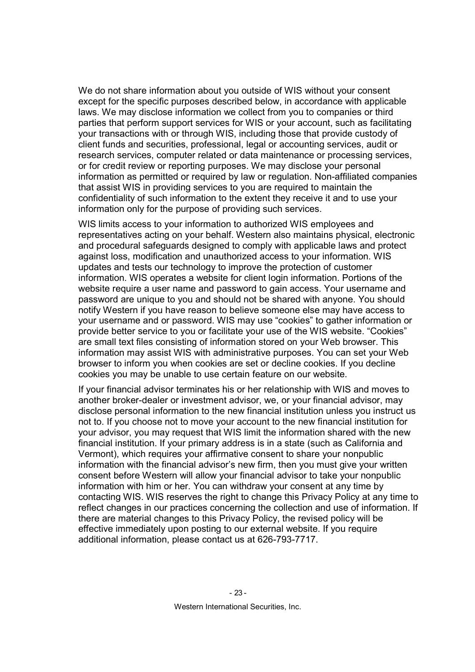We do not share information about you outside of WIS without your consent except for the specific purposes described below, in accordance with applicable laws. We may disclose information we collect from you to companies or third parties that perform support services for WIS or your account, such as facilitating your transactions with or through WIS, including those that provide custody of client funds and securities, professional, legal or accounting services, audit or research services, computer related or data maintenance or processing services, or for credit review or reporting purposes. We may disclose your personal information as permitted or required by law or regulation. Non-affiliated companies that assist WIS in providing services to you are required to maintain the confidentiality of such information to the extent they receive it and to use your information only for the purpose of providing such services.

WIS limits access to your information to authorized WIS employees and representatives acting on your behalf. Western also maintains physical, electronic and procedural safeguards designed to comply with applicable laws and protect against loss, modification and unauthorized access to your information. WIS updates and tests our technology to improve the protection of customer information. WIS operates a website for client login information. Portions of the website require a user name and password to gain access. Your username and password are unique to you and should not be shared with anyone. You should notify Western if you have reason to believe someone else may have access to your username and or password. WIS may use "cookies" to gather information or provide better service to you or facilitate your use of the WIS website. "Cookies" are small text files consisting of information stored on your Web browser. This information may assist WIS with administrative purposes. You can set your Web browser to inform you when cookies are set or decline cookies. If you decline cookies you may be unable to use certain feature on our website.

If your financial advisor terminates his or her relationship with WIS and moves to another broker-dealer or investment advisor, we, or your financial advisor, may disclose personal information to the new financial institution unless you instruct us not to. If you choose not to move your account to the new financial institution for your advisor, you may request that WIS limit the information shared with the new financial institution. If your primary address is in a state (such as California and Vermont), which requires your affirmative consent to share your nonpublic information with the financial advisor's new firm, then you must give your written consent before Western will allow your financial advisor to take your nonpublic information with him or her. You can withdraw your consent at any time by contacting WIS. WIS reserves the right to change this Privacy Policy at any time to reflect changes in our practices concerning the collection and use of information. If there are material changes to this Privacy Policy, the revised policy will be effective immediately upon posting to our external website. If you require additional information, please contact us at 626-793-7717.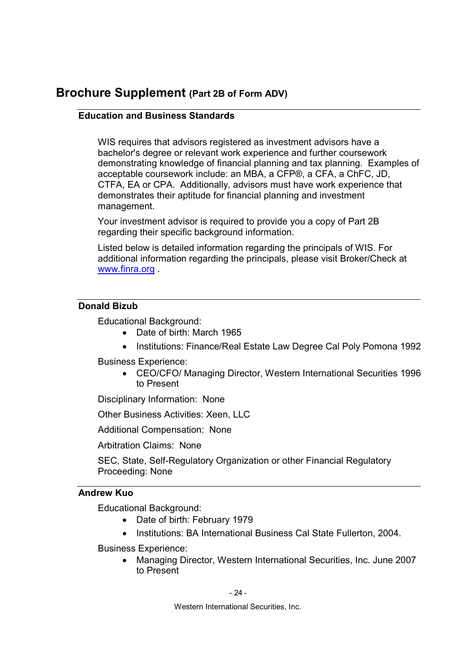### Brochure Supplement (Part 2B of Form ADV)

#### Education and Business Standards

WIS requires that advisors registered as investment advisors have a bachelor's degree or relevant work experience and further coursework demonstrating knowledge of financial planning and tax planning. Examples of acceptable coursework include: an MBA, a CFP®, a CFA, a ChFC, JD, CTFA, EA or CPA. Additionally, advisors must have work experience that demonstrates their aptitude for financial planning and investment management.

Your investment advisor is required to provide you a copy of Part 2B regarding their specific background information.

Listed below is detailed information regarding the principals of WIS. For additional information regarding the principals, please visit Broker/Check at www.finra.org .

#### Donald Bizub

Educational Background:

- Date of birth: March 1965
- Institutions: Finance/Real Estate Law Degree Cal Poly Pomona 1992

Business Experience:

• CEO/CFO/ Managing Director, Western International Securities 1996 to Present

Disciplinary Information: None

Other Business Activities: Xeen, LLC

Additional Compensation: None

Arbitration Claims: None

SEC, State, Self-Regulatory Organization or other Financial Regulatory Proceeding: None

#### Andrew Kuo

Educational Background:

- Date of birth: February 1979
- Institutions: BA International Business Cal State Fullerton, 2004.

Business Experience:

• Managing Director, Western International Securities, Inc. June 2007 to Present

- 24 -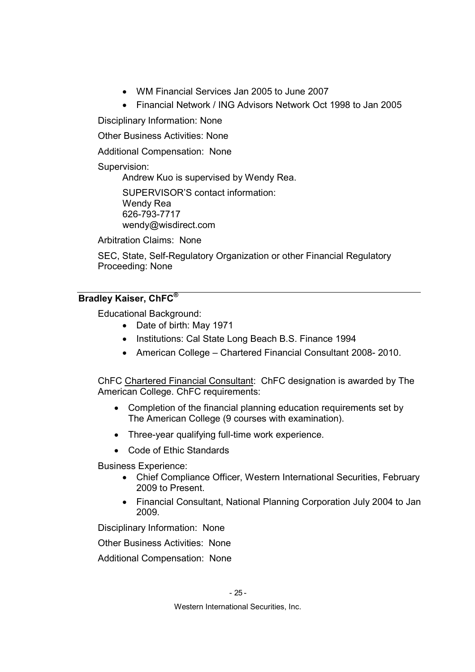- WM Financial Services Jan 2005 to June 2007
- Financial Network / ING Advisors Network Oct 1998 to Jan 2005

Disciplinary Information: None

Other Business Activities: None

Additional Compensation: None

#### Supervision:

Andrew Kuo is supervised by Wendy Rea.

SUPERVISOR'S contact information: Wendy Rea 626-793-7717 wendy@wisdirect.com

Arbitration Claims: None

SEC, State, Self-Regulatory Organization or other Financial Regulatory Proceeding: None

#### Bradley Kaiser, ChFC®

Educational Background:

- Date of birth: May 1971
- Institutions: Cal State Long Beach B.S. Finance 1994
- American College Chartered Financial Consultant 2008- 2010.

ChFC Chartered Financial Consultant: ChFC designation is awarded by The American College. ChFC requirements:

- Completion of the financial planning education requirements set by The American College (9 courses with examination).
- Three-year qualifying full-time work experience.
- Code of Ethic Standards

Business Experience:

- Chief Compliance Officer, Western International Securities, February 2009 to Present.
- Financial Consultant, National Planning Corporation July 2004 to Jan 2009.

Disciplinary Information: None

Other Business Activities: None

Additional Compensation: None